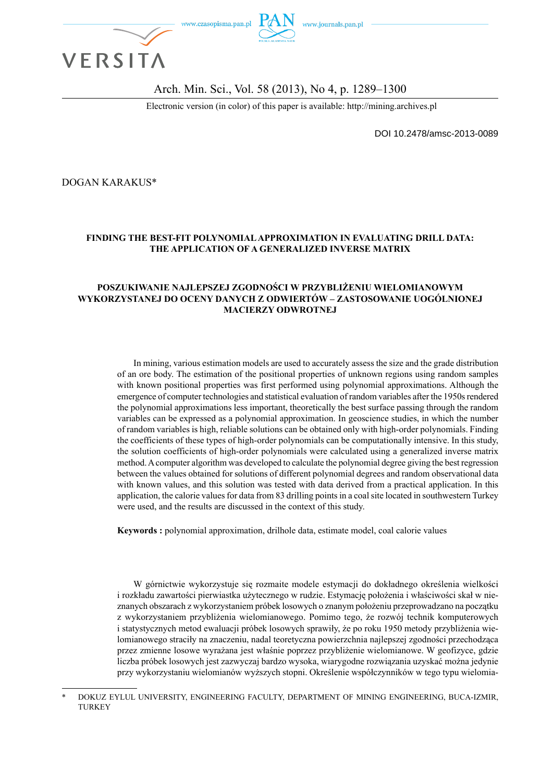

#### Arch. Min. Sci., Vol. 58 (2013), No 4, p. 1289–1300

Electronic version (in color) of this paper is available: http://mining.archives.pl

DOI 10.2478/amsc-2013-0089

DOGAN KARAKUS\*

#### **FINDING THE BEST-FIT POLYNOMIAL APPROXIMATION IN EVALUATING DRILL DATA: THE APPLICATION OF A GENERALIZED INVERSE MATRIX**

#### **POSZUKIWANIE NAJLEPSZEJ ZGODNOŚCI W PRZYBLIŻENIU WIELOMIANOWYM WYKORZYSTANEJ DO OCENY DANYCH Z ODWIERTÓW – ZASTOSOWANIE UOGÓLNIONEJ MACIERZY ODWROTNEJ**

In mining, various estimation models are used to accurately assess the size and the grade distribution of an ore body. The estimation of the positional properties of unknown regions using random samples with known positional properties was first performed using polynomial approximations. Although the emergence of computer technologies and statistical evaluation of random variables after the 1950s rendered the polynomial approximations less important, theoretically the best surface passing through the random variables can be expressed as a polynomial approximation. In geoscience studies, in which the number of random variables is high, reliable solutions can be obtained only with high-order polynomials. Finding the coefficients of these types of high-order polynomials can be computationally intensive. In this study, the solution coefficients of high-order polynomials were calculated using a generalized inverse matrix method. A computer algorithm was developed to calculate the polynomial degree giving the best regression between the values obtained for solutions of different polynomial degrees and random observational data with known values, and this solution was tested with data derived from a practical application. In this application, the calorie values for data from 83 drilling points in a coal site located in southwestern Turkey were used, and the results are discussed in the context of this study.

**Keywords :** polynomial approximation, drilhole data, estimate model, coal calorie values

W górnictwie wykorzystuje się rozmaite modele estymacji do dokładnego określenia wielkości i rozkładu zawartości pierwiastka użytecznego w rudzie. Estymację położenia i właściwości skał w nieznanych obszarach z wykorzystaniem próbek losowych o znanym położeniu przeprowadzano na początku z wykorzystaniem przybliżenia wielomianowego. Pomimo tego, że rozwój technik komputerowych i statystycznych metod ewaluacji próbek losowych sprawiły, że po roku 1950 metody przybliżenia wielomianowego straciły na znaczeniu, nadal teoretyczna powierzchnia najlepszej zgodności przechodząca przez zmienne losowe wyrażana jest właśnie poprzez przybliżenie wielomianowe. W geofizyce, gdzie liczba próbek losowych jest zazwyczaj bardzo wysoka, wiarygodne rozwiązania uzyskać można jedynie przy wykorzystaniu wielomianów wyższych stopni. Określenie współczynników w tego typu wielomia-

<sup>\*</sup> DOKUZ EYLUL UNIVERSITY, ENGINEERING FACULTY, DEPARTMENT OF MINING ENGINEERING, BUCA-IZMIR, TURKEY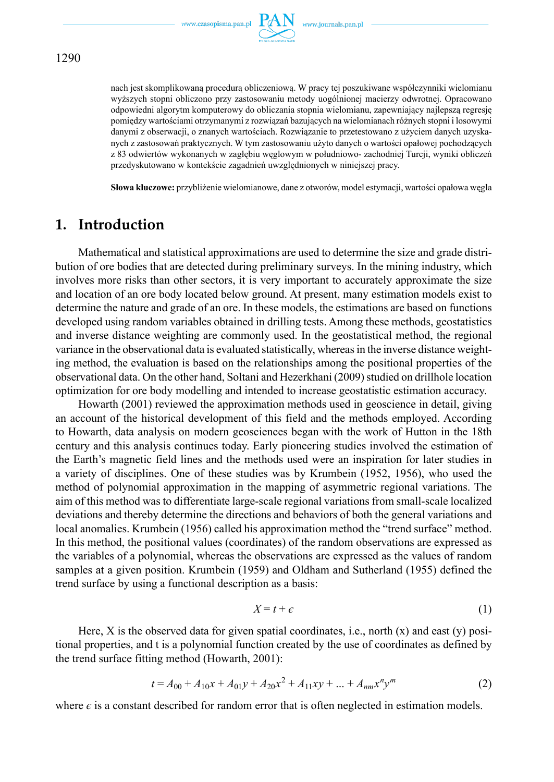

nach jest skomplikowaną procedurą obliczeniową. W pracy tej poszukiwane współczynniki wielomianu wyższych stopni obliczono przy zastosowaniu metody uogólnionej macierzy odwrotnej. Opracowano odpowiedni algorytm komputerowy do obliczania stopnia wielomianu, zapewniający najlepszą regresję pomiędzy wartościami otrzymanymi z rozwiązań bazujących na wielomianach różnych stopni i losowymi danymi z obserwacji, o znanych wartościach. Rozwiązanie to przetestowano z użyciem danych uzyskanych z zastosowań praktycznych. W tym zastosowaniu użyto danych o wartości opałowej pochodzących z 83 odwiertów wykonanych w zagłębiu węglowym w południowo- zachodniej Turcji, wyniki obliczeń przedyskutowano w kontekście zagadnień uwzględnionych w niniejszej pracy.

**Słowa kluczowe:** przybliżenie wielomianowe, dane z otworów, model estymacji, wartości opałowa węgla

## **1. Introduction**

Mathematical and statistical approximations are used to determine the size and grade distribution of ore bodies that are detected during preliminary surveys. In the mining industry, which involves more risks than other sectors, it is very important to accurately approximate the size and location of an ore body located below ground. At present, many estimation models exist to determine the nature and grade of an ore. In these models, the estimations are based on functions developed using random variables obtained in drilling tests. Among these methods, geostatistics and inverse distance weighting are commonly used. In the geostatistical method, the regional variance in the observational data is evaluated statistically, whereas in the inverse distance weighting method, the evaluation is based on the relationships among the positional properties of the observational data. On the other hand, Soltani and Hezerkhani (2009) studied on drillhole location optimization for ore body modelling and intended to increase geostatistic estimation accuracy.

Howarth (2001) reviewed the approximation methods used in geoscience in detail, giving an account of the historical development of this field and the methods employed. According to Howarth, data analysis on modern geosciences began with the work of Hutton in the 18th century and this analysis continues today. Early pioneering studies involved the estimation of the Earth's magnetic field lines and the methods used were an inspiration for later studies in a variety of disciplines. One of these studies was by Krumbein (1952, 1956), who used the method of polynomial approximation in the mapping of asymmetric regional variations. The aim of this method was to differentiate large-scale regional variations from small-scale localized deviations and thereby determine the directions and behaviors of both the general variations and local anomalies. Krumbein (1956) called his approximation method the "trend surface" method. In this method, the positional values (coordinates) of the random observations are expressed as the variables of a polynomial, whereas the observations are expressed as the values of random samples at a given position. Krumbein (1959) and Oldham and Sutherland (1955) defined the trend surface by using a functional description as a basis:

$$
X = t + \epsilon \tag{1}
$$

Here, X is the observed data for given spatial coordinates, i.e., north  $(x)$  and east  $(y)$  positional properties, and t is a polynomial function created by the use of coordinates as defined by the trend surface fitting method (Howarth, 2001):

$$
t = A_{00} + A_{10}x + A_{01}y + A_{20}x^2 + A_{11}xy + \dots + A_{nm}x^n y^m
$$
 (2)

where  $\epsilon$  is a constant described for random error that is often neglected in estimation models.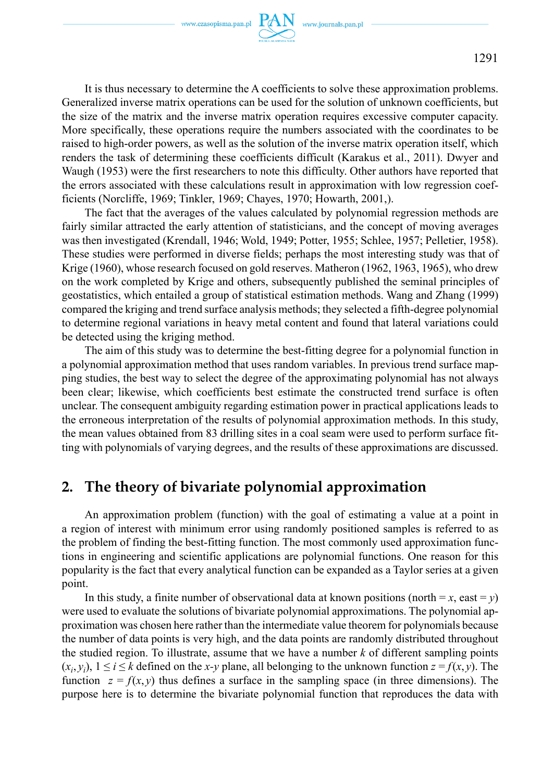

It is thus necessary to determine the A coefficients to solve these approximation problems. Generalized inverse matrix operations can be used for the solution of unknown coefficients, but the size of the matrix and the inverse matrix operation requires excessive computer capacity. More specifically, these operations require the numbers associated with the coordinates to be raised to high-order powers, as well as the solution of the inverse matrix operation itself, which renders the task of determining these coefficients difficult (Karakus et al., 2011). Dwyer and Waugh (1953) were the first researchers to note this difficulty. Other authors have reported that the errors associated with these calculations result in approximation with low regression coefficients (Norcliffe, 1969; Tinkler, 1969; Chayes, 1970; Howarth, 2001,).

The fact that the averages of the values calculated by polynomial regression methods are fairly similar attracted the early attention of statisticians, and the concept of moving averages was then investigated (Krendall, 1946; Wold, 1949; Potter, 1955; Schlee, 1957; Pelletier, 1958). These studies were performed in diverse fields; perhaps the most interesting study was that of Krige (1960), whose research focused on gold reserves. Matheron (1962, 1963, 1965), who drew on the work completed by Krige and others, subsequently published the seminal principles of geostatistics, which entailed a group of statistical estimation methods. Wang and Zhang (1999) compared the kriging and trend surface analysis methods; they selected a fifth-degree polynomial to determine regional variations in heavy metal content and found that lateral variations could be detected using the kriging method.

The aim of this study was to determine the best-fitting degree for a polynomial function in a polynomial approximation method that uses random variables. In previous trend surface mapping studies, the best way to select the degree of the approximating polynomial has not always been clear; likewise, which coefficients best estimate the constructed trend surface is often unclear. The consequent ambiguity regarding estimation power in practical applications leads to the erroneous interpretation of the results of polynomial approximation methods. In this study, the mean values obtained from 83 drilling sites in a coal seam were used to perform surface fitting with polynomials of varying degrees, and the results of these approximations are discussed.

# **2. The theory of bivariate polynomial approximation**

An approximation problem (function) with the goal of estimating a value at a point in a region of interest with minimum error using randomly positioned samples is referred to as the problem of finding the best-fitting function. The most commonly used approximation functions in engineering and scientific applications are polynomial functions. One reason for this popularity is the fact that every analytical function can be expanded as a Taylor series at a given point.

In this study, a finite number of observational data at known positions (north =  $x$ , east =  $y$ ) were used to evaluate the solutions of bivariate polynomial approximations. The polynomial approximation was chosen here rather than the intermediate value theorem for polynomials because the number of data points is very high, and the data points are randomly distributed throughout the studied region. To illustrate, assume that we have a number  $k$  of different sampling points  $(x_i, y_i)$ ,  $1 \le i \le k$  defined on the *x*-*y* plane, all belonging to the unknown function  $z = f(x, y)$ . The function  $z = f(x, y)$  thus defines a surface in the sampling space (in three dimensions). The purpose here is to determine the bivariate polynomial function that reproduces the data with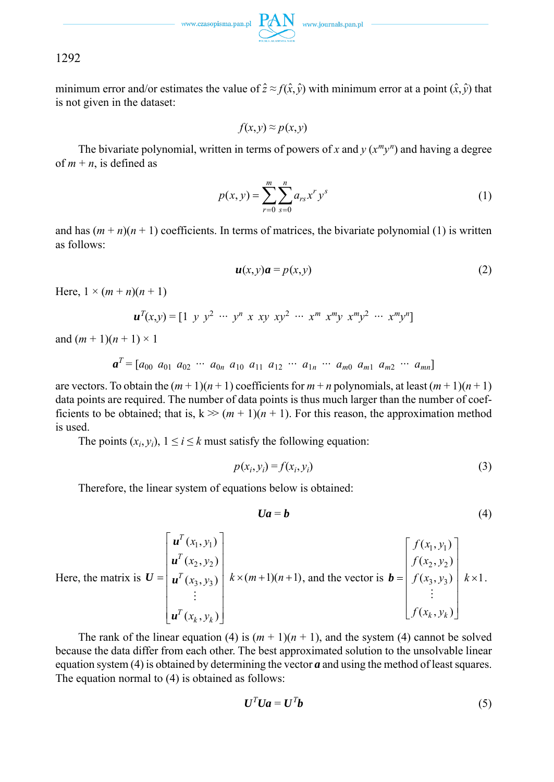minimum error and/or estimates the value of  $\hat{z} \approx f(\hat{x}, \hat{y})$  with minimum error at a point  $(\hat{x}, \hat{y})$  that is not given in the dataset:

 $f(x, y) \approx p(x, y)$ 

The bivariate polynomial, written in terms of powers of *x* and  $y(x^m y^n)$  and having a degree of  $m + n$ , is defined as

$$
p(x, y) = \sum_{r=0}^{m} \sum_{s=0}^{n} a_{rs} x^{r} y^{s}
$$
 (1)

and has  $(m + n)(n + 1)$  coefficients. In terms of matrices, the bivariate polynomial (1) is written as follows:

$$
u(x, y)a = p(x, y) \tag{2}
$$

Here,  $1 \times (m + n)(n + 1)$ 

 $u^T(x,y) = [1 \ y \ y^2 \ \cdots \ y^n \ x \ xy \ xy^2 \ \cdots \ x^m \ x^m y \ x^m y^2 \ \cdots \ x^m y^n]$ 

and  $(m + 1)(n + 1) \times 1$ 

$$
\boldsymbol{a}^T = [a_{00} \ a_{01} \ a_{02} \ \cdots \ a_{0n} \ a_{10} \ a_{11} \ a_{12} \ \cdots \ a_{1n} \ \cdots \ a_{m0} \ a_{m1} \ a_{m2} \ \cdots \ a_{mn}]
$$

are vectors. To obtain the  $(m+1)(n+1)$  coefficients for  $m+n$  polynomials, at least  $(m+1)(n+1)$ data points are required. The number of data points is thus much larger than the number of coefficients to be obtained; that is,  $k \gg (m+1)(n+1)$ . For this reason, the approximation method is used.

The points  $(x_i, y_i)$ ,  $1 \le i \le k$  must satisfy the following equation:

$$
p(x_i, y_i) = f(x_i, y_i) \tag{3}
$$

Therefore, the linear system of equations below is obtained:

$$
Ua = b \tag{4}
$$

Here, the matrix is  $1, y_1$  $2, y_2$  $3, y_3$  $(x_1, y_1)$  $(x_2, y_2)$  $(x_3, y_3) | k \times (m+1)(n+1)$  $(x_k, y_k)$ *T T T*  $T(x_k, y_k)$ *x y x y*  $x_3, y_3$  |  $k \times (m+1)(n)$ *x*<sub>k</sub>, *y*  $|u^T(x_1, y_1)|$  $\begin{bmatrix} 1 & 1 & 1 \\ 0 & 0 & 1 \end{bmatrix}$  $|\boldsymbol{u}^T(x_2, y_2)|$  $=\left| u^T(x_3, y_3) \right| k \times (m+1)(n+1)$  $\vert \hspace{.8cm} \cdot \hspace{.8cm} \cdot \hspace{.8cm} \cdot \hspace{.8cm} \vert$  $\begin{bmatrix} 1 & 1 & 1 \\ 1 & 1 & 1 \end{bmatrix}$  $\lfloor \mathbf{u}^T(x_k, y_k) \rfloor$  $\vdots$ *u u*  $U = |u|$ *u* , and the vector is  $_1, y_1$  $2, y_2$  $3, y_3$  $(x_1, y_1)$  $(x_2, y_2)$  $(x_3, y_3) | k \times 1$  $(x_k, y_k)$  $f(x_1, y)$  $f(x_2, y)$  $f(x_3, y_3) \, | \, k$  $f(x_k, y)$  $| f(x_1, y_1) |$  $\left| \frac{f(x+y)}{f(x+y)} \right|$  $|J(x_2,y_2)|$  $= | f(x_3, y_3) | k \times$  $\vert$   $\cdot$   $\cdot$   $\cdot$   $\vert$  $|\cdot|$  :  $|$  $[f(x_k, y_k)]$  $\vdots$ **.** 

The rank of the linear equation (4) is  $(m + 1)(n + 1)$ , and the system (4) cannot be solved because the data differ from each other. The best approximated solution to the unsolvable linear equation system (4) is obtained by determining the vector *a* and using the method of least squares. The equation normal to (4) is obtained as follows:

$$
U^T U a = U^T b \tag{5}
$$

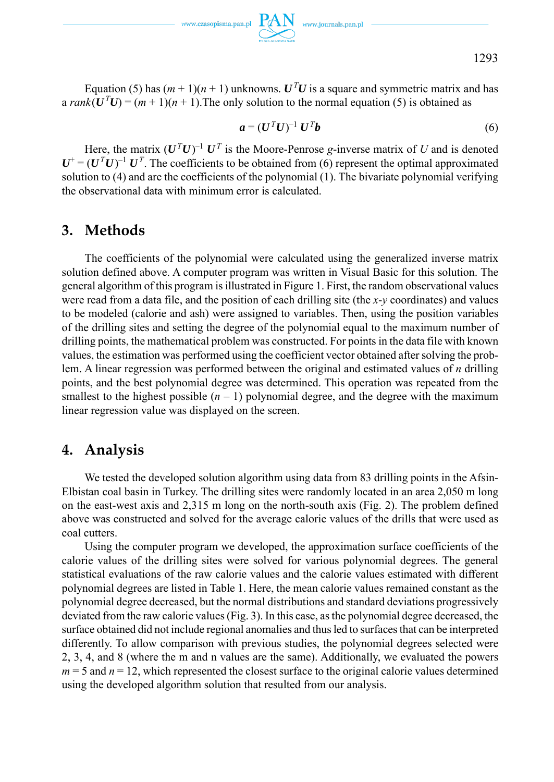

Equation (5) has  $(m + 1)(n + 1)$  unknowns.  $U<sup>T</sup>U$  is a square and symmetric matrix and has a  $rank(U<sup>T</sup>U) = (m + 1)(n + 1)$ . The only solution to the normal equation (5) is obtained as

$$
\boldsymbol{a} = (\boldsymbol{U}^T \boldsymbol{U})^{-1} \ \boldsymbol{U}^T \boldsymbol{b} \tag{6}
$$

Here, the matrix  $(U^T U)^{-1} U^T$  is the Moore-Penrose *g*-inverse matrix of *U* and is denoted  $U^+ = (U^T U)^{-1} U^T$ . The coefficients to be obtained from (6) represent the optimal approximated solution to (4) and are the coefficients of the polynomial (1). The bivariate polynomial verifying the observational data with minimum error is calculated.

### **3. Methods**

The coefficients of the polynomial were calculated using the generalized inverse matrix solution defined above. A computer program was written in Visual Basic for this solution. The general algorithm of this program is illustrated in Figure 1. First, the random observational values were read from a data file, and the position of each drilling site (the *x*-*y* coordinates) and values to be modeled (calorie and ash) were assigned to variables. Then, using the position variables of the drilling sites and setting the degree of the polynomial equal to the maximum number of drilling points, the mathematical problem was constructed. For points in the data file with known values, the estimation was performed using the coefficient vector obtained after solving the problem. A linear regression was performed between the original and estimated values of *n* drilling points, and the best polynomial degree was determined. This operation was repeated from the smallest to the highest possible  $(n - 1)$  polynomial degree, and the degree with the maximum linear regression value was displayed on the screen.

# **4. Analysis**

We tested the developed solution algorithm using data from 83 drilling points in the Afsin-Elbistan coal basin in Turkey. The drilling sites were randomly located in an area 2,050 m long on the east-west axis and 2,315 m long on the north-south axis (Fig. 2). The problem defined above was constructed and solved for the average calorie values of the drills that were used as coal cutters.

Using the computer program we developed, the approximation surface coefficients of the calorie values of the drilling sites were solved for various polynomial degrees. The general statistical evaluations of the raw calorie values and the calorie values estimated with different polynomial degrees are listed in Table 1. Here, the mean calorie values remained constant as the polynomial degree decreased, but the normal distributions and standard deviations progressively deviated from the raw calorie values (Fig. 3). In this case, as the polynomial degree decreased, the surface obtained did not include regional anomalies and thus led to surfaces that can be interpreted differently. To allow comparison with previous studies, the polynomial degrees selected were 2, 3, 4, and 8 (where the m and n values are the same). Additionally, we evaluated the powers  $m = 5$  and  $n = 12$ , which represented the closest surface to the original calorie values determined using the developed algorithm solution that resulted from our analysis.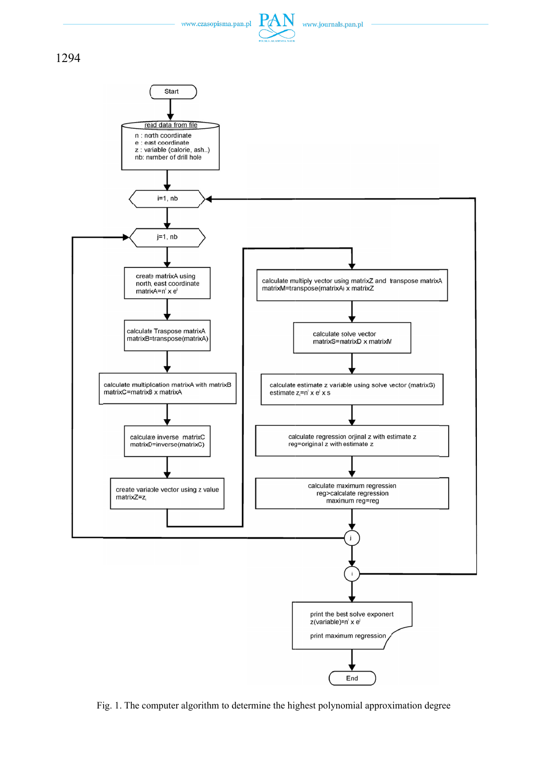www.czasopisma.pan.pl



Fig. 1. The computer algorithm to determine the highest polynomial approximation degree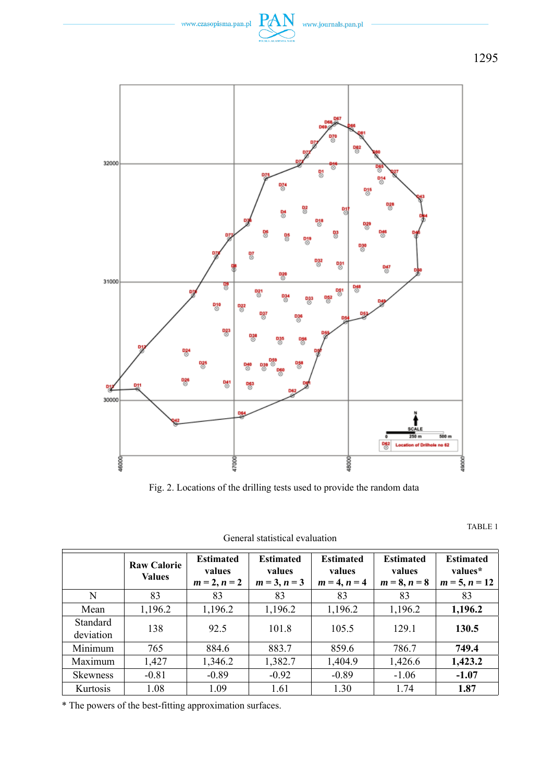

PAN

www.czasopisma.pan.pl

Fig. 2. Locations of the drilling tests used to provide the random data

|  |  | General statistical evaluation |
|--|--|--------------------------------|
|--|--|--------------------------------|

|                       | <b>Raw Calorie</b><br><b>Values</b> | <b>Estimated</b><br>values<br>$m = 2, n = 2$ | <b>Estimated</b><br>values<br>$m = 3, n = 3$ | <b>Estimated</b><br>values<br>$m = 4, n = 4$ | <b>Estimated</b><br>values<br>$m = 8, n = 8$ | <b>Estimated</b><br>values*<br>$m = 5, n = 12$ |
|-----------------------|-------------------------------------|----------------------------------------------|----------------------------------------------|----------------------------------------------|----------------------------------------------|------------------------------------------------|
| N                     | 83                                  | 83                                           | 83                                           | 83                                           | 83                                           | 83                                             |
| Mean                  | 1,196.2                             | 1,196.2                                      | 1,196.2                                      | 1,196.2                                      | 1,196.2                                      | 1,196.2                                        |
| Standard<br>deviation | 138                                 | 92.5                                         | 101.8                                        | 105.5                                        | 129.1                                        | 130.5                                          |
| Minimum               | 765                                 | 884.6                                        | 883.7                                        | 859.6                                        | 786.7                                        | 749.4                                          |
| Maximum               | 1,427                               | 1,346.2                                      | 1,382.7                                      | 1,404.9                                      | 1,426.6                                      | 1,423.2                                        |
| <b>Skewness</b>       | $-0.81$                             | $-0.89$                                      | $-0.92$                                      | $-0.89$                                      | $-1.06$                                      | $-1.07$                                        |
| Kurtosis              | 1.08                                | 1.09                                         | 1.61                                         | 1.30                                         | 1.74                                         | 1.87                                           |

\* The powers of the best-fitting approximation surfaces.

1295

TABLE 1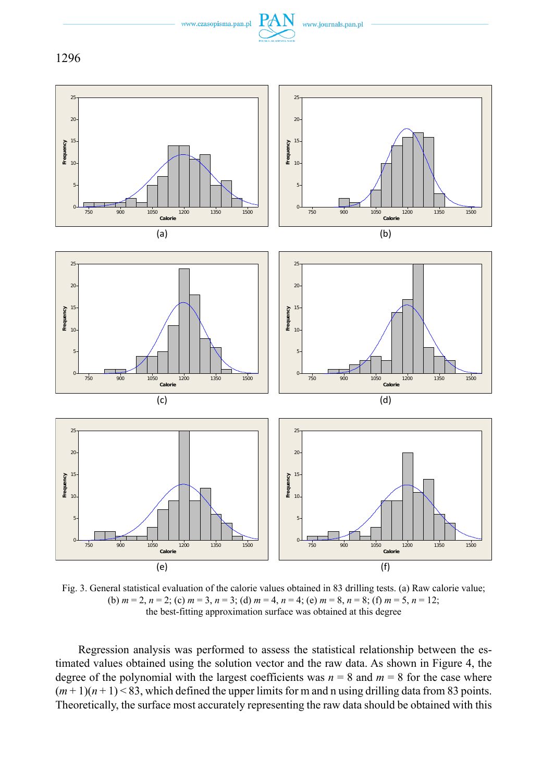





Fig. 3. General statistical evaluation of the calorie values obtained in 83 drilling tests. (a) Raw calorie value; (b)  $m = 2$ ,  $n = 2$ ; (c)  $m = 3$ ,  $n = 3$ ; (d)  $m = 4$ ,  $n = 4$ ; (e)  $m = 8$ ,  $n = 8$ ; (f)  $m = 5$ ,  $n = 12$ ; the best-fitting approximation surface was obtained at this degree

Regression analysis was performed to assess the statistical relationship between the estimated values obtained using the solution vector and the raw data. As shown in Figure 4, the degree of the polynomial with the largest coefficients was  $n = 8$  and  $m = 8$  for the case where  $(m+1)(n+1)$  < 83, which defined the upper limits for m and n using drilling data from 83 points. Theoretically, the surface most accurately representing the raw data should be obtained with this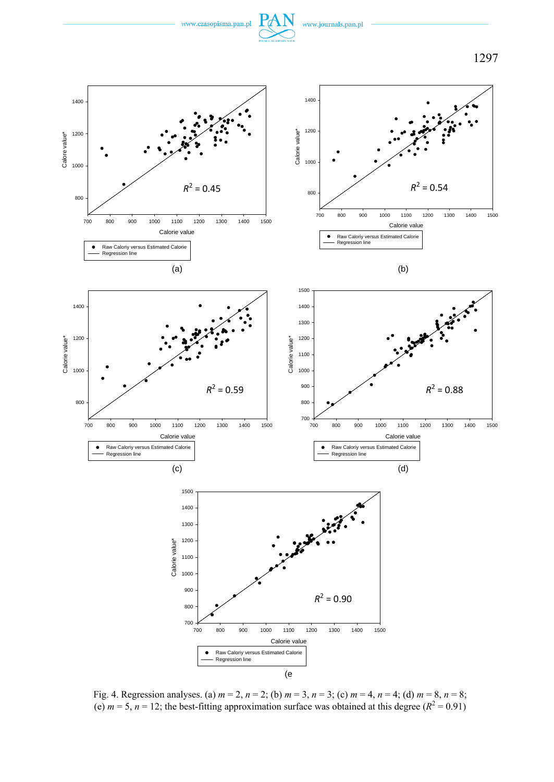

Fig. 4. Regression analyses. (a) *m* = 2, *n* = 2; (b) *m* = 3, *n* = 3; (c) *m* = 4, *n* = 4; (d) *m* = 8, *n* = 8; (e)  $m = 5$ ,  $n = 12$ ; the best-fitting approximation surface was obtained at this degree ( $R^2 = 0.91$ )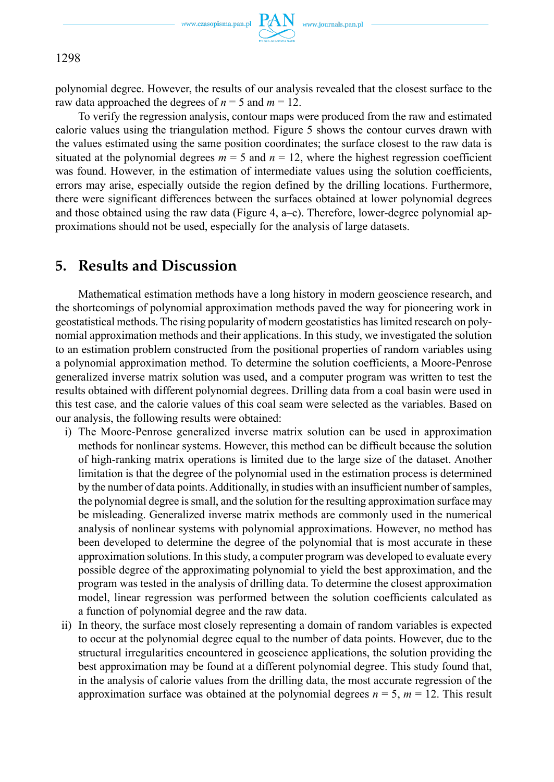polynomial degree. However, the results of our analysis revealed that the closest surface to the raw data approached the degrees of  $n = 5$  and  $m = 12$ .

To verify the regression analysis, contour maps were produced from the raw and estimated calorie values using the triangulation method. Figure 5 shows the contour curves drawn with the values estimated using the same position coordinates; the surface closest to the raw data is situated at the polynomial degrees  $m = 5$  and  $n = 12$ , where the highest regression coefficient was found. However, in the estimation of intermediate values using the solution coefficients, errors may arise, especially outside the region defined by the drilling locations. Furthermore, there were significant differences between the surfaces obtained at lower polynomial degrees and those obtained using the raw data (Figure 4,  $a-c$ ). Therefore, lower-degree polynomial approximations should not be used, especially for the analysis of large datasets.

## **5. Results and Discussion**

Mathematical estimation methods have a long history in modern geoscience research, and the shortcomings of polynomial approximation methods paved the way for pioneering work in geostatistical methods. The rising popularity of modern geostatistics has limited research on polynomial approximation methods and their applications. In this study, we investigated the solution to an estimation problem constructed from the positional properties of random variables using a polynomial approximation method. To determine the solution coefficients, a Moore-Penrose generalized inverse matrix solution was used, and a computer program was written to test the results obtained with different polynomial degrees. Drilling data from a coal basin were used in this test case, and the calorie values of this coal seam were selected as the variables. Based on our analysis, the following results were obtained:

- i) The Moore-Penrose generalized inverse matrix solution can be used in approximation methods for nonlinear systems. However, this method can be difficult because the solution of high-ranking matrix operations is limited due to the large size of the dataset. Another limitation is that the degree of the polynomial used in the estimation process is determined by the number of data points. Additionally, in studies with an insufficient number of samples, the polynomial degree is small, and the solution for the resulting approximation surface may be misleading. Generalized inverse matrix methods are commonly used in the numerical analysis of nonlinear systems with polynomial approximations. However, no method has been developed to determine the degree of the polynomial that is most accurate in these approximation solutions. In this study, a computer program was developed to evaluate every possible degree of the approximating polynomial to yield the best approximation, and the program was tested in the analysis of drilling data. To determine the closest approximation model, linear regression was performed between the solution coefficients calculated as a function of polynomial degree and the raw data.
- ii) In theory, the surface most closely representing a domain of random variables is expected to occur at the polynomial degree equal to the number of data points. However, due to the structural irregularities encountered in geoscience applications, the solution providing the best approximation may be found at a different polynomial degree. This study found that, in the analysis of calorie values from the drilling data, the most accurate regression of the approximation surface was obtained at the polynomial degrees  $n = 5$ ,  $m = 12$ . This result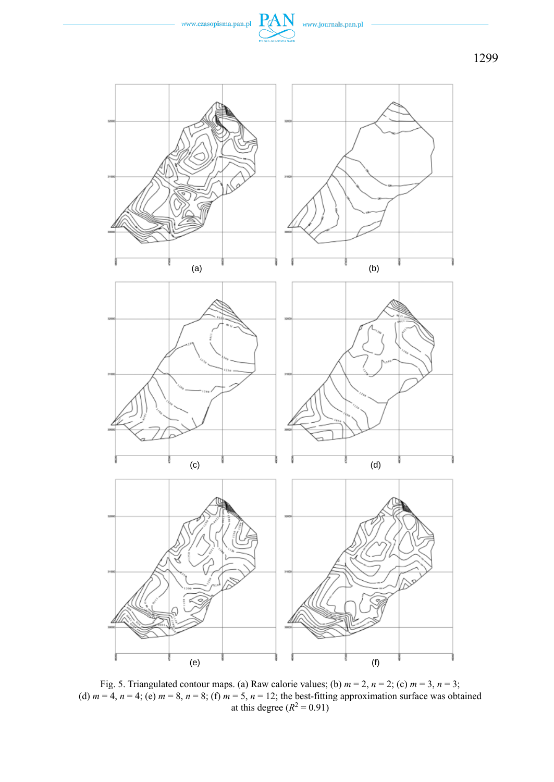



Fig. 5. Triangulated contour maps. (a) Raw calorie values; (b)  $m = 2$ ,  $n = 2$ ; (c)  $m = 3$ ,  $n = 3$ ; (d)  $m = 4$ ,  $n = 4$ ; (e)  $m = 8$ ,  $n = 8$ ; (f)  $m = 5$ ,  $n = 12$ ; the best-fitting approximation surface was obtained at this degree  $(R^2 = 0.91)$